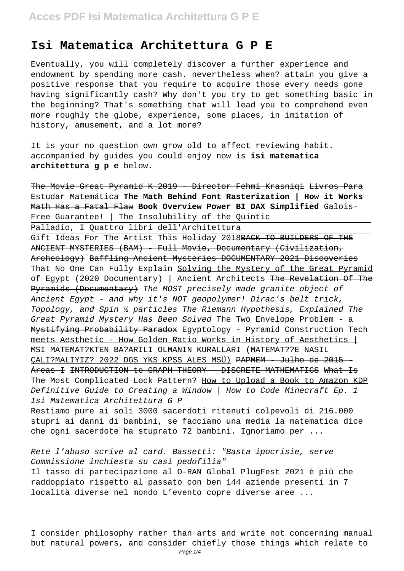#### **Isi Matematica Architettura G P E**

Eventually, you will completely discover a further experience and endowment by spending more cash. nevertheless when? attain you give a positive response that you require to acquire those every needs gone having significantly cash? Why don't you try to get something basic in the beginning? That's something that will lead you to comprehend even more roughly the globe, experience, some places, in imitation of history, amusement, and a lot more?

It is your no question own grow old to affect reviewing habit. accompanied by guides you could enjoy now is **isi matematica architettura g p e** below.

The Movie Great Pyramid K 2019 - Director Fehmi Krasniqi Livros Para Estudar Matemática **The Math Behind Font Rasterization | How it Works** Math Has a Fatal Flaw **Book Overview Power BI DAX Simplified** Galois-Free Guarantee! | The Insolubility of the Quintic

Palladio, I Quattro libri dell'Architettura

Gift Ideas For The Artist This Holiday 2018BACK TO BUILDERS OF THE ANCIENT MYSTERIES (BAM) - Full Movie, Documentary (Civilization, Archeology) Baffling Ancient Mysteries DOCUMENTARY 2021 Discoveries That No One Can Fully Explain Solving the Mystery of the Great Pyramid of Egypt (2020 Documentary) | Ancient Architects The Revelation Of The Pyramids (Documentary) The MOST precisely made granite object of Ancient Egypt - and why it's NOT geopolymer! Dirac's belt trick, Topology, and Spin ½ particles The Riemann Hypothesis, Explained The Great Pyramid Mystery Has Been Solved The Two Envelope Problem Mystifying Probability Paradox Egyptology - Pyramid Construction Tech meets Aesthetic - How Golden Ratio Works in History of Aesthetics | MSI MATEMAT?KTEN BA?ARILI OLMANIN KURALLARI (MATEMAT??E NASIL CALI?MALIYIZ? 2022 DGS YKS KPSS ALES MSÜ) <del>PAPMEM - Julho de 2015 -</del> Áreas I INTRODUCTION to GRAPH THEORY - DISCRETE MATHEMATICS What Is The Most Complicated Lock Pattern? How to Upload a Book to Amazon KDP Definitive Guide to Creating a Window | How to Code Minecraft Ep. 1 Isi Matematica Architettura G P

Restiamo pure ai soli 3000 sacerdoti ritenuti colpevoli di 216.000 stupri ai danni di bambini, se facciamo una media la matematica dice che ogni sacerdote ha stuprato 72 bambini. Ignoriamo per ...

Rete l'abuso scrive al card. Bassetti: "Basta ipocrisie, serve Commissione inchiesta su casi pedofilia" Il tasso di partecipazione al O-RAN Global PlugFest 2021 è più che raddoppiato rispetto al passato con ben 144 aziende presenti in 7 località diverse nel mondo L'evento copre diverse aree ...

I consider philosophy rather than arts and write not concerning manual but natural powers, and consider chiefly those things which relate to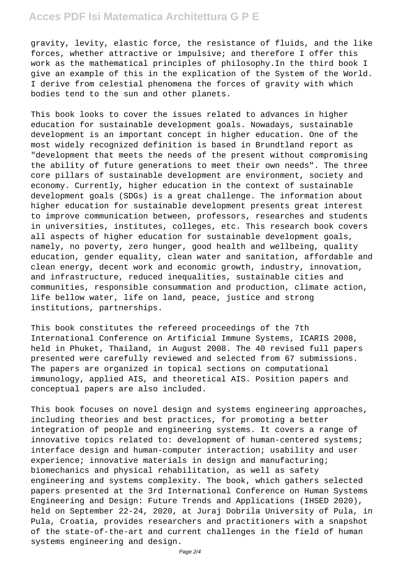gravity, levity, elastic force, the resistance of fluids, and the like forces, whether attractive or impulsive; and therefore I offer this work as the mathematical principles of philosophy.In the third book I give an example of this in the explication of the System of the World. I derive from celestial phenomena the forces of gravity with which bodies tend to the sun and other planets.

This book looks to cover the issues related to advances in higher education for sustainable development goals. Nowadays, sustainable development is an important concept in higher education. One of the most widely recognized definition is based in Brundtland report as "development that meets the needs of the present without compromising the ability of future generations to meet their own needs". The three core pillars of sustainable development are environment, society and economy. Currently, higher education in the context of sustainable development goals (SDGs) is a great challenge. The information about higher education for sustainable development presents great interest to improve communication between, professors, researches and students in universities, institutes, colleges, etc. This research book covers all aspects of higher education for sustainable development goals, namely, no poverty, zero hunger, good health and wellbeing, quality education, gender equality, clean water and sanitation, affordable and clean energy, decent work and economic growth, industry, innovation, and infrastructure, reduced inequalities, sustainable cities and communities, responsible consummation and production, climate action, life bellow water, life on land, peace, justice and strong institutions, partnerships.

This book constitutes the refereed proceedings of the 7th International Conference on Artificial Immune Systems, ICARIS 2008, held in Phuket, Thailand, in August 2008. The 40 revised full papers presented were carefully reviewed and selected from 67 submissions. The papers are organized in topical sections on computational immunology, applied AIS, and theoretical AIS. Position papers and conceptual papers are also included.

This book focuses on novel design and systems engineering approaches, including theories and best practices, for promoting a better integration of people and engineering systems. It covers a range of innovative topics related to: development of human-centered systems; interface design and human-computer interaction; usability and user experience; innovative materials in design and manufacturing; biomechanics and physical rehabilitation, as well as safety engineering and systems complexity. The book, which gathers selected papers presented at the 3rd International Conference on Human Systems Engineering and Design: Future Trends and Applications (IHSED 2020), held on September 22-24, 2020, at Juraj Dobrila University of Pula, in Pula, Croatia, provides researchers and practitioners with a snapshot of the state-of-the-art and current challenges in the field of human systems engineering and design.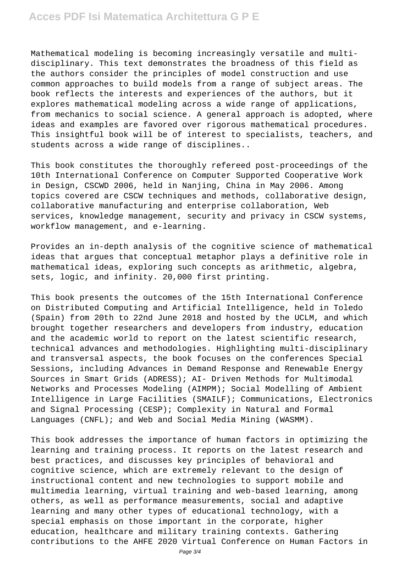Mathematical modeling is becoming increasingly versatile and multidisciplinary. This text demonstrates the broadness of this field as the authors consider the principles of model construction and use common approaches to build models from a range of subject areas. The book reflects the interests and experiences of the authors, but it explores mathematical modeling across a wide range of applications, from mechanics to social science. A general approach is adopted, where ideas and examples are favored over rigorous mathematical procedures. This insightful book will be of interest to specialists, teachers, and students across a wide range of disciplines..

This book constitutes the thoroughly refereed post-proceedings of the 10th International Conference on Computer Supported Cooperative Work in Design, CSCWD 2006, held in Nanjing, China in May 2006. Among topics covered are CSCW techniques and methods, collaborative design, collaborative manufacturing and enterprise collaboration, Web services, knowledge management, security and privacy in CSCW systems, workflow management, and e-learning.

Provides an in-depth analysis of the cognitive science of mathematical ideas that argues that conceptual metaphor plays a definitive role in mathematical ideas, exploring such concepts as arithmetic, algebra, sets, logic, and infinity. 20,000 first printing.

This book presents the outcomes of the 15th International Conference on Distributed Computing and Artificial Intelligence, held in Toledo (Spain) from 20th to 22nd June 2018 and hosted by the UCLM, and which brought together researchers and developers from industry, education and the academic world to report on the latest scientific research, technical advances and methodologies. Highlighting multi-disciplinary and transversal aspects, the book focuses on the conferences Special Sessions, including Advances in Demand Response and Renewable Energy Sources in Smart Grids (ADRESS); AI- Driven Methods for Multimodal Networks and Processes Modeling (AIMPM); Social Modelling of Ambient Intelligence in Large Facilities (SMAILF); Communications, Electronics and Signal Processing (CESP); Complexity in Natural and Formal Languages (CNFL); and Web and Social Media Mining (WASMM).

This book addresses the importance of human factors in optimizing the learning and training process. It reports on the latest research and best practices, and discusses key principles of behavioral and cognitive science, which are extremely relevant to the design of instructional content and new technologies to support mobile and multimedia learning, virtual training and web-based learning, among others, as well as performance measurements, social and adaptive learning and many other types of educational technology, with a special emphasis on those important in the corporate, higher education, healthcare and military training contexts. Gathering contributions to the AHFE 2020 Virtual Conference on Human Factors in